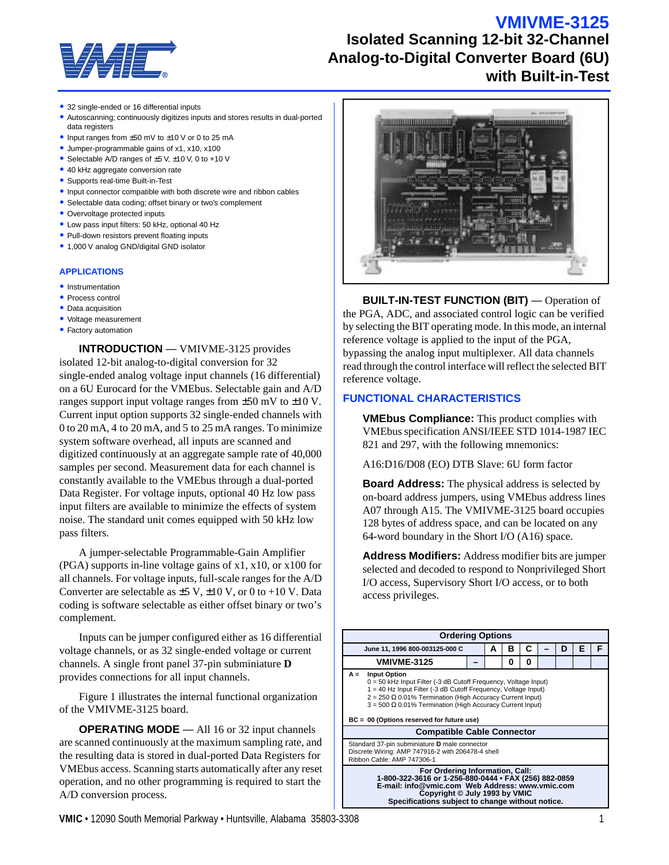## **VMIVME-3125**



# **Isolated Scanning 12-bit 32-Channel Analog-to-Digital Converter Board (6U) with Built-in-Test**

- 32 single-ended or 16 differential inputs
- Autoscanning; continuously digitizes inputs and stores results in dual-ported data registers
- Input ranges from  $\pm 50$  mV to  $\pm 10$  V or 0 to 25 mA
- Jumper-programmable gains of x1, x10, x100
- Selectable A/D ranges of  $\pm 5$  V,  $\pm 10$  V, 0 to +10 V
- 40 kHz aggregate conversion rate
- Supports real-time Built-in-Test
- Input connector compatible with both discrete wire and ribbon cables
- Selectable data coding; offset binary or two's complement
- Overvoltage protected inputs
- Low pass input filters: 50 kHz, optional 40 Hz
- Pull-down resistors prevent floating inputs
- 1,000 V analog GND/digital GND isolator

#### **APPLICATIONS**

- Instrumentation
- Process control
- Data acquisition
- Voltage measurement
- Factory automation

**INTRODUCTION** — VMIVME-3125 provides isolated 12-bit analog-to-digital conversion for 32 single-ended analog voltage input channels (16 differential) on a 6U Eurocard for the VMEbus. Selectable gain and A/D ranges support input voltage ranges from ±50 mV to ±10 V. Current input option supports 32 single-ended channels with 0 to 20 mA, 4 to 20 mA, and 5 to 25 mA ranges. To minimize system software overhead, all inputs are scanned and digitized continuously at an aggregate sample rate of 40,000 samples per second. Measurement data for each channel is constantly available to the VMEbus through a dual-ported Data Register. For voltage inputs, optional 40 Hz low pass input filters are available to minimize the effects of system noise. The standard unit comes equipped with 50 kHz low pass filters.

A jumper-selectable Programmable-Gain Amplifier (PGA) supports in-line voltage gains of x1, x10, or x100 for all channels. For voltage inputs, full-scale ranges for the A/D Converter are selectable as  $\pm$ 5 V,  $\pm$ 10 V, or 0 to +10 V. Data coding is software selectable as either offset binary or two's complement.

Inputs can be jumper configured either as 16 differential voltage channels, or as 32 single-ended voltage or current channels. A single front panel 37-pin subminiature **D** provides connections for all input channels.

Figure 1 illustrates the internal functional organization of the VMIVME-3125 board.

**OPERATING MODE** — All 16 or 32 input channels are scanned continuously at the maximum sampling rate, and the resulting data is stored in dual-ported Data Registers for VMEbus access. Scanning starts automatically after any reset operation, and no other programming is required to start the A/D conversion process.



**BUILT-IN-TEST FUNCTION (BIT)** — Operation of the PGA, ADC, and associated control logic can be verified by selecting the BIT operating mode. In this mode, an internal reference voltage is applied to the input of the PGA, bypassing the analog input multiplexer. All data channels read through the control interface will reflect the selected BIT reference voltage.

## **FUNCTIONAL CHARACTERISTICS**

**VMEbus Compliance:** This product complies with VMEbus specification ANSI/IEEE STD 1014-1987 IEC 821 and 297, with the following mnemonics:

A16:D16/D08 (EO) DTB Slave: 6U form factor

**Board Address:** The physical address is selected by on-board address jumpers, using VMEbus address lines A07 through A15. The VMIVME-3125 board occupies 128 bytes of address space, and can be located on any 64-word boundary in the Short I/O (A16) space.

**Address Modifiers:** Address modifier bits are jumper selected and decoded to respond to Nonprivileged Short I/O access, Supervisory Short I/O access, or to both access privileges.

| <b>Ordering Options</b>                                                                                                                                                                                                                                                                                                                                                                       |  |   |   |   |  |   |   |   |
|-----------------------------------------------------------------------------------------------------------------------------------------------------------------------------------------------------------------------------------------------------------------------------------------------------------------------------------------------------------------------------------------------|--|---|---|---|--|---|---|---|
| June 11, 1996 800-003125-000 C                                                                                                                                                                                                                                                                                                                                                                |  | А | в | C |  | D | F | F |
| <b>VMIVME-3125</b>                                                                                                                                                                                                                                                                                                                                                                            |  |   | 0 | 0 |  |   |   |   |
| $A =$<br><b>Input Option</b><br>$0 = 50$ kHz Input Filter (-3 dB Cutoff Frequency, Voltage Input)<br>1 = 40 Hz Input Filter (-3 dB Cutoff Frequency, Voltage Input)<br>$2 = 250 \Omega$ 0.01% Termination (High Accuracy Current Input)<br>$3 = 500 \Omega$ 0.01% Termination (High Accuracy Current Input)<br>BC = 00 (Options reserved for future use)<br><b>Compatible Cable Connector</b> |  |   |   |   |  |   |   |   |
| Standard 37-pin subminiature D male connector<br>Discrete Wiring: AMP 747916-2 with 206478-4 shell<br>Ribbon Cable: AMP 747306-1                                                                                                                                                                                                                                                              |  |   |   |   |  |   |   |   |
| For Ordering Information, Call:<br>1-800-322-3616 or 1-256-880-0444 • FAX (256) 882-0859<br>E-mail: info@vmic.com Web Address: www.vmic.com<br>Copyright © July 1993 by VMIC<br>Specifications subject to change without notice.                                                                                                                                                              |  |   |   |   |  |   |   |   |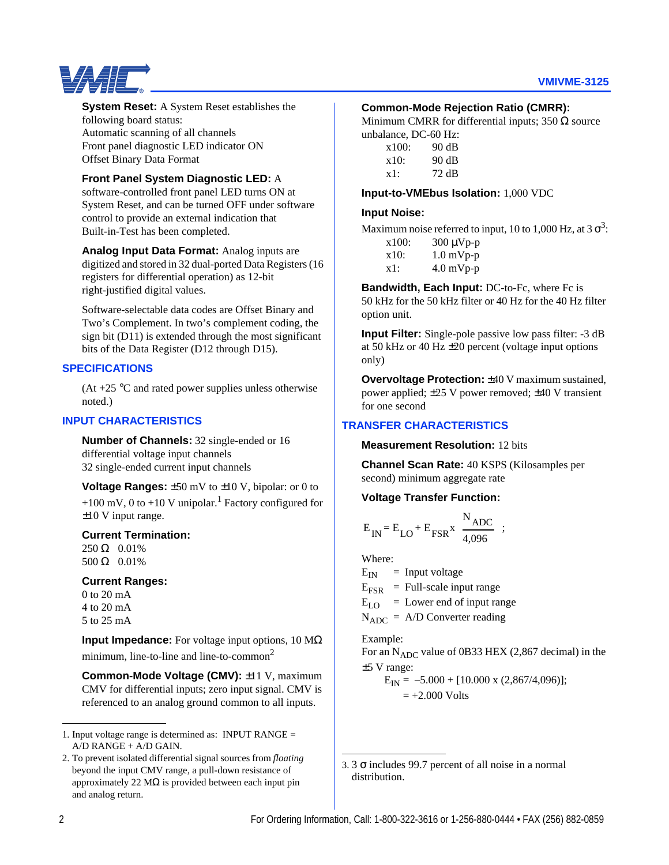

## **System Reset:** A System Reset establishes the following board status: Automatic scanning of all channels Front panel diagnostic LED indicator ON Offset Binary Data Format

## **Front Panel System Diagnostic LED:** A

software-controlled front panel LED turns ON at System Reset, and can be turned OFF under software control to provide an external indication that Built-in-Test has been completed.

**Analog Input Data Format:** Analog inputs are digitized and stored in 32 dual-ported Data Registers (16 registers for differential operation) as 12-bit right-justified digital values.

Software-selectable data codes are Offset Binary and Two's Complement. In two's complement coding, the sign bit (D11) is extended through the most significant bits of the Data Register (D12 through D15).

#### **SPECIFICATIONS**

 $(At +25 °C)$  and rated power supplies unless otherwise noted.)

## **INPUT CHARACTERISTICS**

**Number of Channels:** 32 single-ended or 16 differential voltage input channels 32 single-ended current input channels

**Voltage Ranges:** ±50 mV to ±10 V, bipolar: or 0 to +100 mV, 0 to +10 V unipolar.<sup>1</sup> Factory configured for ±10 V input range.

### **Current Termination:**

250 Ω 0.01% 500 Ω 0.01%

#### **Current Ranges:**

0 to 20 mA 4 to 20 mA 5 to 25 mA

**Input Impedance:** For voltage input options, 10 MΩ minimum, line-to-line and line-to-common<sup>2</sup>

**Common-Mode Voltage (CMV):** ±11 V, maximum CMV for differential inputs; zero input signal. CMV is referenced to an analog ground common to all inputs.

## **Common-Mode Rejection Ratio (CMRR):**

Minimum CMRR for differential inputs;  $350 \Omega$  source unbalance, DC-60 Hz:

| x100: | 90 dB |
|-------|-------|
| x10:  | 90 dB |
| x1:   | 72 dB |

#### **Input-to-VMEbus Isolation:** 1,000 VDC

#### **Input Noise:**

Maximum noise referred to input, 10 to 1,000 Hz, at 3  $\sigma^3$ :

| x100: | $300 \mu Vp-p$ |
|-------|----------------|
|       |                |

| x10: | $1.0 \text{ mVp-p}$ |
|------|---------------------|
|      |                     |

x1: 4.0 mVp-p

**Bandwidth, Each Input:** DC-to-Fc, where Fc is 50 kHz for the 50 kHz filter or 40 Hz for the 40 Hz filter option unit.

**Input Filter:** Single-pole passive low pass filter: -3 dB at 50 kHz or 40 Hz ±20 percent (voltage input options only)

**Overvoltage Protection:**  $\pm 40$  V maximum sustained, power applied; ±25 V power removed; ±40 V transient for one second

## **TRANSFER CHARACTERISTICS**

**Measurement Resolution:** 12 bits

**Channel Scan Rate:** 40 KSPS (Kilosamples per second) minimum aggregate rate

#### **Voltage Transfer Function:**

$$
E_{IN} = E_{LO} + E_{FSR} x \frac{N_{ADC}}{4,096} ;
$$

Where:

 $E_{IN}$  = Input voltage

 $E_{FSR}$  = Full-scale input range

 $E_{LO}$  = Lower end of input range

 $N_{ADC} = A/D$  Converter reading

Example:

For an  $N_{ADC}$  value of 0B33 HEX (2,867 decimal) in the ±5 V range:

 $E_{IN} = -5.000 + [10.000 \text{ x } (2,867/4,096)];$ 

 $= +2.000$  Volts

<sup>1.</sup> Input voltage range is determined as: INPUT RANGE = A/D RANGE + A/D GAIN.

<sup>2.</sup> To prevent isolated differential signal sources from *floating* beyond the input CMV range, a pull-down resistance of approximately 22  $\text{M}\Omega$  is provided between each input pin and analog return.

<sup>3.</sup> 3 σ includes 99.7 percent of all noise in a normal distribution.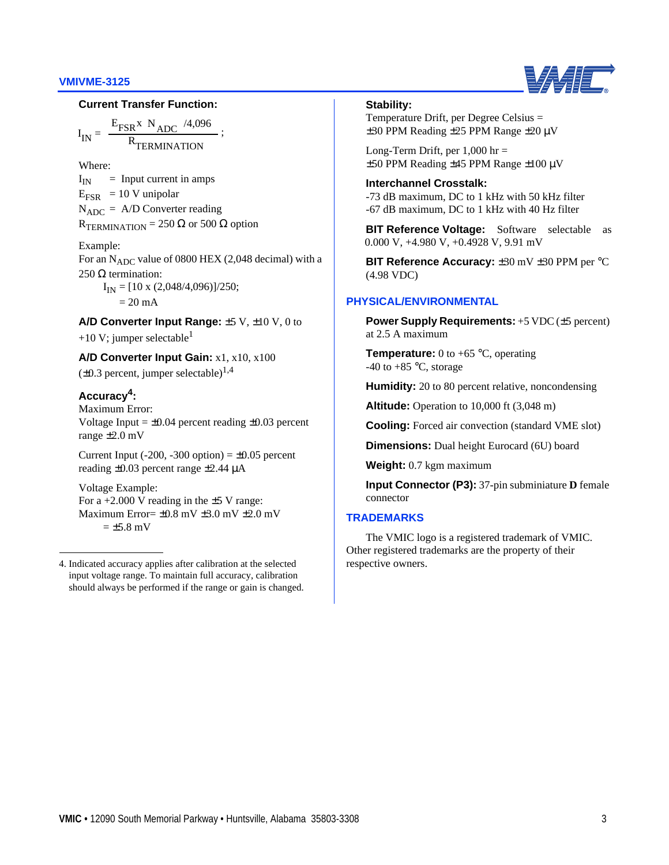#### **VMIVME-3125**



#### **Current Transfer Function:**

I IN  $E_{FSR}$ x N<sub>ADC</sub> R<sub>TERMINATION</sub>  $=$   $\frac{FSK}{R}$  ADC  $\frac{3}{2}$ ; /4,096

Where:

 $I_{IN}$  = Input current in amps  $E_{FSR}$  = 10 V unipolar  $N_{ADC} = A/D$  Converter reading  $R$ TERMINATION = 250  $\Omega$  or 500  $\Omega$  option

#### Example:

For an  $N_{ADC}$  value of 0800 HEX (2,048 decimal) with a 250  $\Omega$  termination:

 $I_{IN} = [10 \times (2,048/4,096)]/250;$ 

 $= 20$  mA

### **A/D Converter Input Range:** ±5 V, ±10 V, 0 to

+10 V; jumper selectable<sup>1</sup>

**A/D Converter Input Gain:** x1, x10, x100  $(\pm 0.3$  percent, jumper selectable)<sup>1,4</sup>

## **Accuracy4:**

Maximum Error: Voltage Input  $= \pm 0.04$  percent reading  $\pm 0.03$  percent range ±2.0 mV

Current Input (-200, -300 option)  $= \pm 0.05$  percent reading ±0.03 percent range ±2.44 µA

Voltage Example: For a  $+2.000$  V reading in the  $\pm$ 5 V range: Maximum Error= $\pm 0.8$  mV  $\pm 3.0$  mV  $\pm 2.0$  mV  $= \pm 5.8$  mV

#### **Stability:**

Temperature Drift, per Degree Celsius = ±30 PPM Reading ±25 PPM Range ±20 µV

Long-Term Drift, per  $1,000$  hr = ±50 PPM Reading ±45 PPM Range ±100 µV

**Interchannel Crosstalk:** -73 dB maximum, DC to 1 kHz with 50 kHz filter -67 dB maximum, DC to 1 kHz with 40 Hz filter

**BIT Reference Voltage:** Software selectable as 0.000 V, +4.980 V, +0.4928 V, 9.91 mV

**BIT Reference Accuracy:** ±30 mV ±30 PPM per °C (4.98 VDC)

## **PHYSICAL/ENVIRONMENTAL**

**Power Supply Requirements:** +5 VDC (±5 percent) at 2.5 A maximum

**Temperature:** 0 to  $+65$  °C, operating -40 to  $+85$  °C, storage

**Humidity:** 20 to 80 percent relative, noncondensing

**Altitude:** Operation to 10,000 ft (3,048 m)

**Cooling:** Forced air convection (standard VME slot)

**Dimensions:** Dual height Eurocard (6U) board

**Weight:** 0.7 kgm maximum

**Input Connector (P3):** 37-pin subminiature **D** female connector

## **TRADEMARKS**

The VMIC logo is a registered trademark of VMIC. Other registered trademarks are the property of their respective owners.

<sup>4.</sup> Indicated accuracy applies after calibration at the selected input voltage range. To maintain full accuracy, calibration should always be performed if the range or gain is changed.